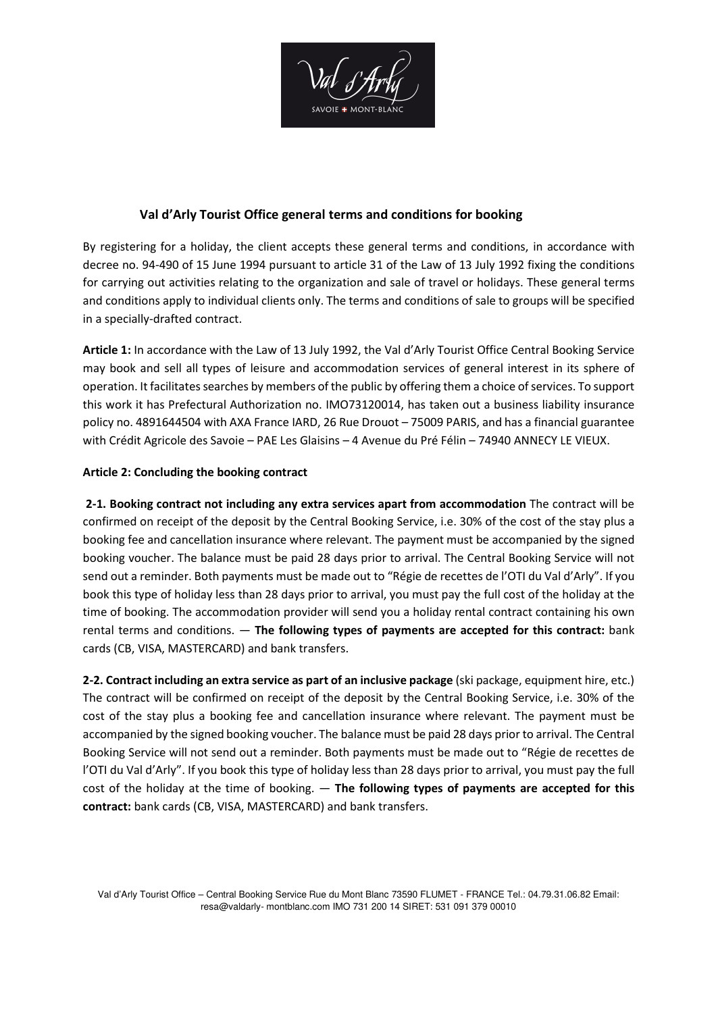

# **Val d'Arly Tourist Office general terms and conditions for booking**

By registering for a holiday, the client accepts these general terms and conditions, in accordance with decree no. 94-490 of 15 June 1994 pursuant to article 31 of the Law of 13 July 1992 fixing the conditions for carrying out activities relating to the organization and sale of travel or holidays. These general terms and conditions apply to individual clients only. The terms and conditions of sale to groups will be specified in a specially-drafted contract.

**Article 1:** In accordance with the Law of 13 July 1992, the Val d'Arly Tourist Office Central Booking Service may book and sell all types of leisure and accommodation services of general interest in its sphere of operation. It facilitates searches by members of the public by offering them a choice of services. To support this work it has Prefectural Authorization no. IMO73120014, has taken out a business liability insurance policy no. 4891644504 with AXA France IARD, 26 Rue Drouot – 75009 PARIS, and has a financial guarantee with Crédit Agricole des Savoie – PAE Les Glaisins – 4 Avenue du Pré Félin – 74940 ANNECY LE VIEUX.

# **Article 2: Concluding the booking contract**

 **2-1. Booking contract not including any extra services apart from accommodation** The contract will be confirmed on receipt of the deposit by the Central Booking Service, i.e. 30% of the cost of the stay plus a booking fee and cancellation insurance where relevant. The payment must be accompanied by the signed booking voucher. The balance must be paid 28 days prior to arrival. The Central Booking Service will not send out a reminder. Both payments must be made out to "Régie de recettes de l'OTI du Val d'Arly". If you book this type of holiday less than 28 days prior to arrival, you must pay the full cost of the holiday at the time of booking. The accommodation provider will send you a holiday rental contract containing his own rental terms and conditions. — **The following types of payments are accepted for this contract:** bank cards (CB, VISA, MASTERCARD) and bank transfers.

**2-2. Contract including an extra service as part of an inclusive package** (ski package, equipment hire, etc.) The contract will be confirmed on receipt of the deposit by the Central Booking Service, i.e. 30% of the cost of the stay plus a booking fee and cancellation insurance where relevant. The payment must be accompanied by the signed booking voucher. The balance must be paid 28 days prior to arrival. The Central Booking Service will not send out a reminder. Both payments must be made out to "Régie de recettes de l'OTI du Val d'Arly". If you book this type of holiday less than 28 days prior to arrival, you must pay the full cost of the holiday at the time of booking. — **The following types of payments are accepted for this contract:** bank cards (CB, VISA, MASTERCARD) and bank transfers.

Val d'Arly Tourist Office – Central Booking Service Rue du Mont Blanc 73590 FLUMET - FRANCE Tel.: 04.79.31.06.82 Email: resa@valdarly- montblanc.com IMO 731 200 14 SIRET: 531 091 379 00010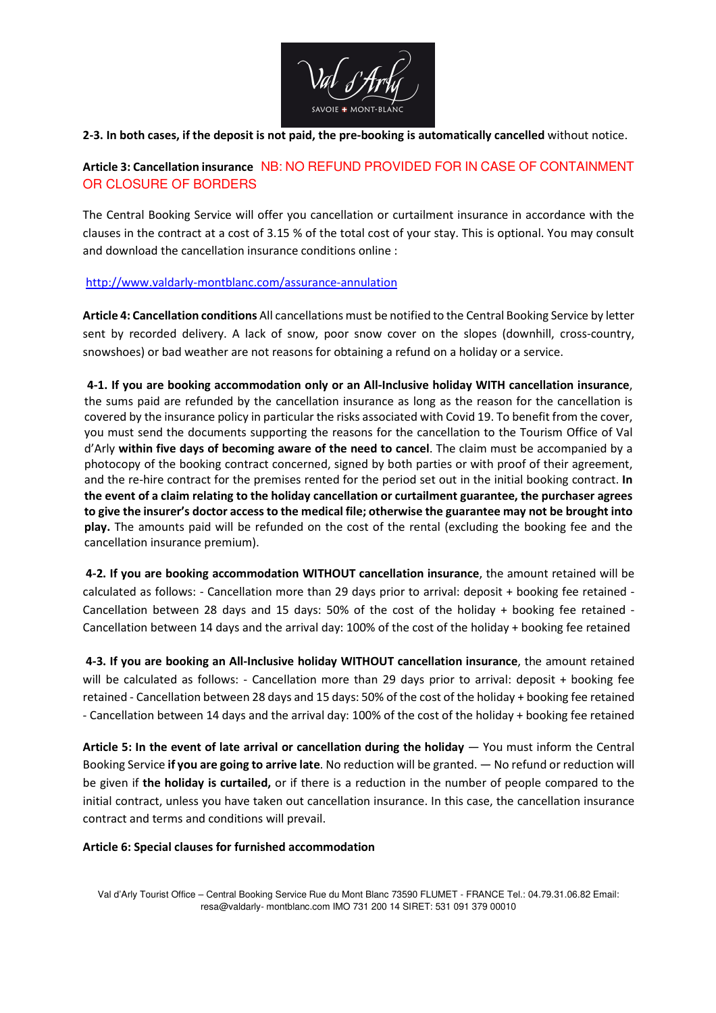

### **2-3. In both cases, if the deposit is not paid, the pre-booking is automatically cancelled** without notice.

# **Article 3: Cancellation insurance** NB: NO REFUND PROVIDED FOR IN CASE OF CONTAINMENT OR CLOSURE OF BORDERS

The Central Booking Service will offer you cancellation or curtailment insurance in accordance with the clauses in the contract at a cost of 3.15 % of the total cost of your stay. This is optional. You may consult and download the cancellation insurance conditions online :

### http://www.valdarly-montblanc.com/assurance-annulation

**Article 4: Cancellation conditions** All cancellations must be notified to the Central Booking Service by letter sent by recorded delivery. A lack of snow, poor snow cover on the slopes (downhill, cross-country, snowshoes) or bad weather are not reasons for obtaining a refund on a holiday or a service.

**4-1. If you are booking accommodation only or an All-Inclusive holiday WITH cancellation insurance**, the sums paid are refunded by the cancellation insurance as long as the reason for the cancellation is covered by the insurance policy in particular the risks associated with Covid 19. To benefit from the cover, you must send the documents supporting the reasons for the cancellation to the Tourism Office of Val d'Arly **within five days of becoming aware of the need to cancel**. The claim must be accompanied by a photocopy of the booking contract concerned, signed by both parties or with proof of their agreement, and the re-hire contract for the premises rented for the period set out in the initial booking contract. **In the event of a claim relating to the holiday cancellation or curtailment guarantee, the purchaser agrees to give the insurer's doctor access to the medical file; otherwise the guarantee may not be brought into play.** The amounts paid will be refunded on the cost of the rental (excluding the booking fee and the cancellation insurance premium).

**4-2. If you are booking accommodation WITHOUT cancellation insurance**, the amount retained will be calculated as follows: - Cancellation more than 29 days prior to arrival: deposit + booking fee retained - Cancellation between 28 days and 15 days: 50% of the cost of the holiday + booking fee retained - Cancellation between 14 days and the arrival day: 100% of the cost of the holiday + booking fee retained

**4-3. If you are booking an All-Inclusive holiday WITHOUT cancellation insurance**, the amount retained will be calculated as follows: - Cancellation more than 29 days prior to arrival: deposit + booking fee retained - Cancellation between 28 days and 15 days: 50% of the cost of the holiday + booking fee retained - Cancellation between 14 days and the arrival day: 100% of the cost of the holiday + booking fee retained

Article 5: In the event of late arrival or cancellation during the holiday — You must inform the Central Booking Service **if you are going to arrive late**. No reduction will be granted. — No refund or reduction will be given if **the holiday is curtailed,** or if there is a reduction in the number of people compared to the initial contract, unless you have taken out cancellation insurance. In this case, the cancellation insurance contract and terms and conditions will prevail.

### **Article 6: Special clauses for furnished accommodation**

Val d'Arly Tourist Office – Central Booking Service Rue du Mont Blanc 73590 FLUMET - FRANCE Tel.: 04.79.31.06.82 Email: resa@valdarly- montblanc.com IMO 731 200 14 SIRET: 531 091 379 00010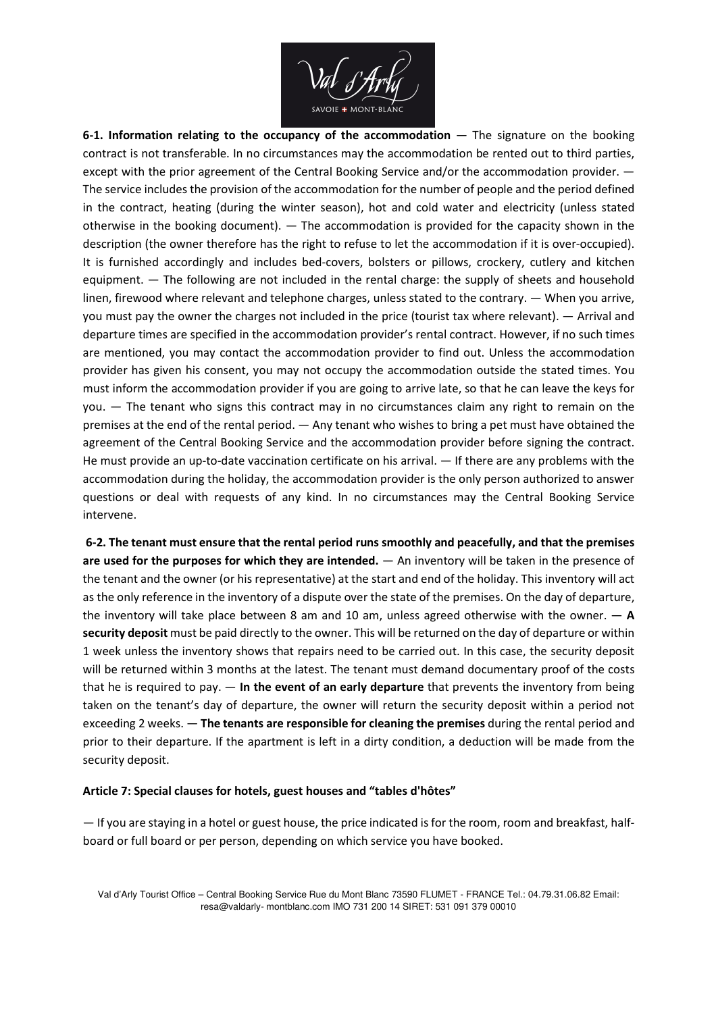

**6-1. Information relating to the occupancy of the accommodation** — The signature on the booking contract is not transferable. In no circumstances may the accommodation be rented out to third parties, except with the prior agreement of the Central Booking Service and/or the accommodation provider.  $-$ The service includes the provision of the accommodation for the number of people and the period defined in the contract, heating (during the winter season), hot and cold water and electricity (unless stated otherwise in the booking document). — The accommodation is provided for the capacity shown in the description (the owner therefore has the right to refuse to let the accommodation if it is over-occupied). It is furnished accordingly and includes bed-covers, bolsters or pillows, crockery, cutlery and kitchen equipment. — The following are not included in the rental charge: the supply of sheets and household linen, firewood where relevant and telephone charges, unless stated to the contrary. — When you arrive, you must pay the owner the charges not included in the price (tourist tax where relevant). — Arrival and departure times are specified in the accommodation provider's rental contract. However, if no such times are mentioned, you may contact the accommodation provider to find out. Unless the accommodation provider has given his consent, you may not occupy the accommodation outside the stated times. You must inform the accommodation provider if you are going to arrive late, so that he can leave the keys for you. — The tenant who signs this contract may in no circumstances claim any right to remain on the premises at the end of the rental period. — Any tenant who wishes to bring a pet must have obtained the agreement of the Central Booking Service and the accommodation provider before signing the contract. He must provide an up-to-date vaccination certificate on his arrival. — If there are any problems with the accommodation during the holiday, the accommodation provider is the only person authorized to answer questions or deal with requests of any kind. In no circumstances may the Central Booking Service intervene.

**6-2. The tenant must ensure that the rental period runs smoothly and peacefully, and that the premises are used for the purposes for which they are intended.** — An inventory will be taken in the presence of the tenant and the owner (or his representative) at the start and end of the holiday. This inventory will act as the only reference in the inventory of a dispute over the state of the premises. On the day of departure, the inventory will take place between 8 am and 10 am, unless agreed otherwise with the owner. — **A security deposit** must be paid directly to the owner. This will be returned on the day of departure or within 1 week unless the inventory shows that repairs need to be carried out. In this case, the security deposit will be returned within 3 months at the latest. The tenant must demand documentary proof of the costs that he is required to pay. — **In the event of an early departure** that prevents the inventory from being taken on the tenant's day of departure, the owner will return the security deposit within a period not exceeding 2 weeks. — **The tenants are responsible for cleaning the premises** during the rental period and prior to their departure. If the apartment is left in a dirty condition, a deduction will be made from the security deposit.

#### **Article 7: Special clauses for hotels, guest houses and "tables d'hôtes"**

— If you are staying in a hotel or guest house, the price indicated is for the room, room and breakfast, halfboard or full board or per person, depending on which service you have booked.

Val d'Arly Tourist Office – Central Booking Service Rue du Mont Blanc 73590 FLUMET - FRANCE Tel.: 04.79.31.06.82 Email: resa@valdarly- montblanc.com IMO 731 200 14 SIRET: 531 091 379 00010